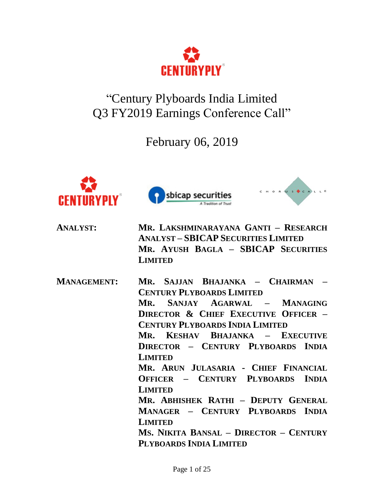

"Century Plyboards India Limited Q3 FY2019 Earnings Conference Call"

February 06, 2019







| <b>ANALYST:</b>    | MR. LAKSHMINARAYANA GANTI - RESEARCH<br><b>ANALYST - SBICAP SECURITIES LIMITED</b><br>MR. AYUSH BAGLA - SBICAP SECURITIES<br><b>LIMITED</b>                                                                                                                                                                                                                                                                                                                                                                                                                   |
|--------------------|---------------------------------------------------------------------------------------------------------------------------------------------------------------------------------------------------------------------------------------------------------------------------------------------------------------------------------------------------------------------------------------------------------------------------------------------------------------------------------------------------------------------------------------------------------------|
| <b>MANAGEMENT:</b> | Mr. Sajjan Bhajanka - Chairman<br><b>CENTURY PLYBOARDS LIMITED</b><br>Mr. SANJAY AGARWAL - MANAGING<br><b>DIRECTOR &amp; CHIEF EXECUTIVE OFFICER -</b><br><b>CENTURY PLYBOARDS INDIA LIMITED</b><br>Mr. Keshav Bhajanka - Executive<br>DIRECTOR - CENTURY PLYBOARDS INDIA<br><b>LIMITED</b><br>MR. ARUN JULASARIA - CHIEF FINANCIAL<br>OFFICER - CENTURY PLYBOARDS INDIA<br><b>LIMITED</b><br>Mr. Abhishek Rathi - Deputy General<br>MANAGER - CENTURY PLYBOARDS INDIA<br><b>LIMITED</b><br>Ms. Nikita Bansal - Director - Century<br>PLYBOARDS INDIA LIMITED |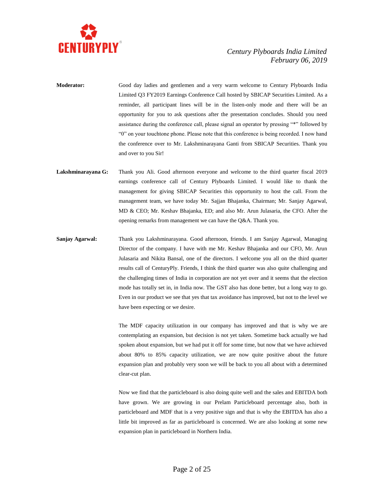

- **Moderator:** Good day ladies and gentlemen and a very warm welcome to Century Plyboards India Limited Q3 FY2019 Earnings Conference Call hosted by SBICAP Securities Limited. As a reminder, all participant lines will be in the listen-only mode and there will be an opportunity for you to ask questions after the presentation concludes. Should you need assistance during the conference call, please signal an operator by pressing "\*" followed by "0" on your touchtone phone. Please note that this conference is being recorded. I now hand the conference over to Mr. Lakshminarayana Ganti from SBICAP Securities. Thank you and over to you Sir!
- **Lakshminarayana G:** Thank you Ali. Good afternoon everyone and welcome to the third quarter fiscal 2019 earnings conference call of Century Plyboards Limited. I would like to thank the management for giving SBICAP Securities this opportunity to host the call. From the management team, we have today Mr. Sajjan Bhajanka, Chairman; Mr. Sanjay Agarwal, MD & CEO; Mr. Keshav Bhajanka, ED; and also Mr. Arun Julasaria, the CFO. After the opening remarks from management we can have the  $Q&A$ . Thank you.
- **Sanjay Agarwal:** Thank you Lakshminarayana. Good afternoon, friends. I am Sanjay Agarwal, Managing Director of the company. I have with me Mr. Keshav Bhajanka and our CFO, Mr. Arun Julasaria and Nikita Bansal, one of the directors. I welcome you all on the third quarter results call of CenturyPly. Friends, I think the third quarter was also quite challenging and the challenging times of India in corporation are not yet over and it seems that the election mode has totally set in, in India now. The GST also has done better, but a long way to go. Even in our product we see that yes that tax avoidance has improved, but not to the level we have been expecting or we desire.

The MDF capacity utilization in our company has improved and that is why we are contemplating an expansion, but decision is not yet taken. Sometime back actually we had spoken about expansion, but we had put it off for some time, but now that we have achieved about 80% to 85% capacity utilization, we are now quite positive about the future expansion plan and probably very soon we will be back to you all about with a determined clear-cut plan.

Now we find that the particleboard is also doing quite well and the sales and EBITDA both have grown. We are growing in our Prelam Particleboard percentage also, both in particleboard and MDF that is a very positive sign and that is why the EBITDA has also a little bit improved as far as particleboard is concerned. We are also looking at some new expansion plan in particleboard in Northern India.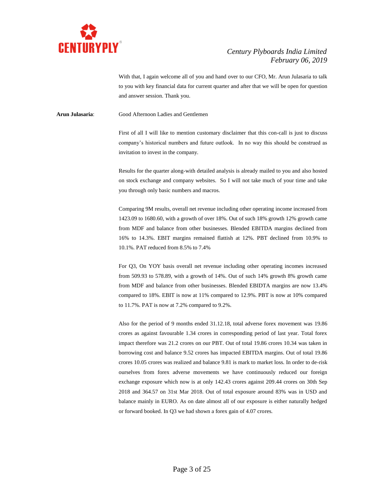

With that, I again welcome all of you and hand over to our CFO, Mr. Arun Julasaria to talk to you with key financial data for current quarter and after that we will be open for question and answer session. Thank you.

**Arun Julasaria**: Good Afternoon Ladies and Gentlemen

First of all I will like to mention customary disclaimer that this con-call is just to discuss company's historical numbers and future outlook. In no way this should be construed as invitation to invest in the company.

Results for the quarter along-with detailed analysis is already mailed to you and also hosted on stock exchange and company websites. So I will not take much of your time and take you through only basic numbers and macros.

Comparing 9M results, overall net revenue including other operating income increased from 1423.09 to 1680.60, with a growth of over 18%. Out of such 18% growth 12% growth came from MDF and balance from other businesses. Blended EBITDA margins declined from 16% to 14.3%. EBIT margins remained flattish at 12%. PBT declined from 10.9% to 10.1%. PAT reduced from 8.5% to 7.4%

For Q3, On YOY basis overall net revenue including other operating incomes increased from 509.93 to 578.89, with a growth of 14%. Out of such 14% growth 8% growth came from MDF and balance from other businesses. Blended EBIDTA margins are now 13.4% compared to 18%. EBIT is now at 11% compared to 12.9%. PBT is now at 10% compared to 11.7%. PAT is now at 7.2% compared to 9.2%.

Also for the period of 9 months ended 31.12.18, total adverse forex movement was 19.86 crores as against favourable 1.34 crores in corresponding period of last year. Total forex impact therefore was 21.2 crores on our PBT. Out of total 19.86 crores 10.34 was taken in borrowing cost and balance 9.52 crores has impacted EBITDA margins. Out of total 19.86 crores 10.05 crores was realized and balance 9.81 is mark to market loss. In order to de-risk ourselves from forex adverse movements we have continuously reduced our foreign exchange exposure which now is at only 142.43 crores against 209.44 crores on 30th Sep 2018 and 364.57 on 31st Mar 2018. Out of total exposure around 83% was in USD and balance mainly in EURO. As on date almost all of our exposure is either naturally hedged or forward booked. In Q3 we had shown a forex gain of 4.07 crores.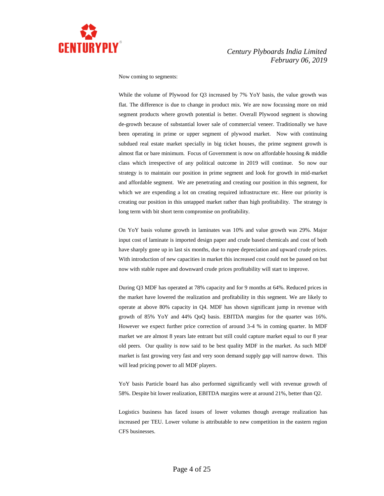

Now coming to segments:

While the volume of Plywood for Q3 increased by 7% YoY basis, the value growth was flat. The difference is due to change in product mix. We are now focussing more on mid segment products where growth potential is better. Overall Plywood segment is showing de-growth because of substantial lower sale of commercial veneer. Traditionally we have been operating in prime or upper segment of plywood market. Now with continuing subdued real estate market specially in big ticket houses, the prime segment growth is almost flat or bare minimum. Focus of Government is now on affordable housing & middle class which irrespective of any political outcome in 2019 will continue. So now our strategy is to maintain our position in prime segment and look for growth in mid-market and affordable segment. We are penetrating and creating our position in this segment, for which we are expending a lot on creating required infrastructure etc. Here our priority is creating our position in this untapped market rather than high profitability. The strategy is long term with bit short term compromise on profitability.

On YoY basis volume growth in laminates was 10% and value growth was 29%. Major input cost of laminate is imported design paper and crude based chemicals and cost of both have sharply gone up in last six months, due to rupee depreciation and upward crude prices. With introduction of new capacities in market this increased cost could not be passed on but now with stable rupee and downward crude prices profitability will start to improve.

During Q3 MDF has operated at 78% capacity and for 9 months at 64%. Reduced prices in the market have lowered the realization and profitability in this segment. We are likely to operate at above 80% capacity in Q4. MDF has shown significant jump in revenue with growth of 85% YoY and 44% QoQ basis. EBITDA margins for the quarter was 16%. However we expect further price correction of around 3-4 % in coming quarter. In MDF market we are almost 8 years late entrant but still could capture market equal to our 8 year old peers. Our quality is now said to be best quality MDF in the market. As such MDF market is fast growing very fast and very soon demand supply gap will narrow down. This will lead pricing power to all MDF players.

YoY basis Particle board has also performed significantly well with revenue growth of 58%. Despite bit lower realization, EBITDA margins were at around 21%, better than Q2.

Logistics business has faced issues of lower volumes though average realization has increased per TEU. Lower volume is attributable to new competition in the eastern region CFS businesses.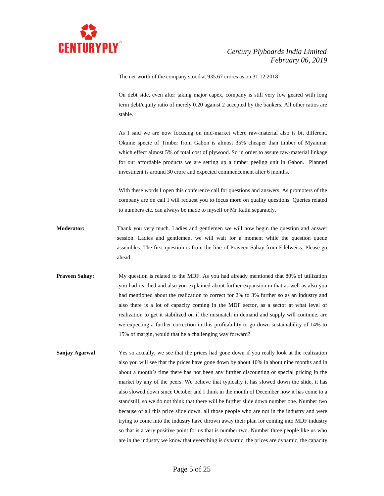

The net worth of the company stood at 935.67 crores as on 31.12 2018

On debt side, even after taking major capex, company is still very low geared with long term debt/equity ratio of merely 0.20 against 2 accepted by the bankers. All other ratios are stable.

As I said we are now focusing on mid-market where raw-material also is bit different. Okume specie of Timber from Gabon is almost 35% cheaper than timber of Myanmar which effect almost 5% of total cost of plywood. So in order to assure raw-material linkage for our affordable products we are setting up a timber peeling unit in Gabon. Planned investment is around 30 crore and expected commencement after 6 months.

With these words I open this conference call for questions and answers. As promoters of the company are on call I will request you to focus more on quality questions. Queries related to numbers etc. can always be made to myself or Mr Rathi separately.

- **Moderator:** Thank you very much. Ladies and gentlemen we will now begin the question and answer session. Ladies and gentlemen, we will wait for a moment while the question queue assembles. The first question is from the line of Praveen Sahay from Edelweiss. Please go ahead.
- **Praveen Sahay:** My question is related to the MDF. As you had already mentioned that 80% of utilization you had reached and also you explained about further expansion in that as well as also you had mentioned about the realization to correct for 2% to 3% further so as an industry and also there is a lot of capacity coming in the MDF sector, as a sector at what level of realization to get it stabilized on if the mismatch in demand and supply will continue, are we expecting a further correction in this profitability to go down sustainability of 14% to 15% of margin, would that be a challenging way forward?
- **Sanjay Agarwal:** Yes so actually, we see that the prices had gone down if you really look at the realization also you will see that the prices have gone down by about 10% in about nine months and in about a month's time there has not been any further discounting or special pricing in the market by any of the peers. We believe that typically it has slowed down the slide, it has also slowed down since October and I think in the month of December now it has come to a standstill, so we do not think that there will be further slide down number one. Number two because of all this price slide down, all those people who are not in the industry and were trying to come into the industry have thrown away their plan for coming into MDF industry so that is a very positive point for us that is number two. Number three people like us who are in the industry we know that everything is dynamic, the prices are dynamic, the capacity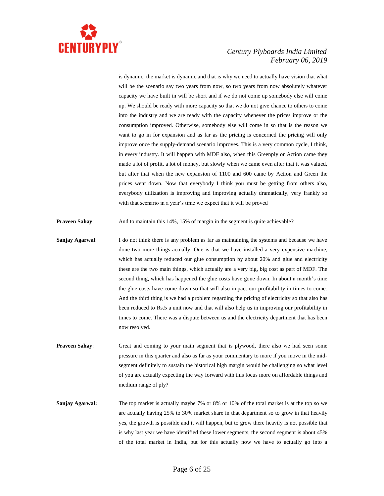

is dynamic, the market is dynamic and that is why we need to actually have vision that what will be the scenario say two years from now, so two years from now absolutely whatever capacity we have built in will be short and if we do not come up somebody else will come up. We should be ready with more capacity so that we do not give chance to others to come into the industry and we are ready with the capacity whenever the prices improve or the consumption improved. Otherwise, somebody else will come in so that is the reason we want to go in for expansion and as far as the pricing is concerned the pricing will only improve once the supply-demand scenario improves. This is a very common cycle, I think, in every industry. It will happen with MDF also, when this Greenply or Action came they made a lot of profit, a lot of money, but slowly when we came even after that it was valued, but after that when the new expansion of 1100 and 600 came by Action and Green the prices went down. Now that everybody I think you must be getting from others also, everybody utilization is improving and improving actually dramatically, very frankly so with that scenario in a year's time we expect that it will be proved

**Praveen Sahay:** And to maintain this 14%, 15% of margin in the segment is quite achievable?

- **Sanjay Agarwal:** I do not think there is any problem as far as maintaining the systems and because we have done two more things actually. One is that we have installed a very expensive machine, which has actually reduced our glue consumption by about 20% and glue and electricity these are the two main things, which actually are a very big, big cost as part of MDF. The second thing, which has happened the glue costs have gone down. In about a month's time the glue costs have come down so that will also impact our profitability in times to come. And the third thing is we had a problem regarding the pricing of electricity so that also has been reduced to Rs.5 a unit now and that will also help us in improving our profitability in times to come. There was a dispute between us and the electricity department that has been now resolved.
- **Praveen Sahay:** Great and coming to your main segment that is plywood, there also we had seen some pressure in this quarter and also as far as your commentary to more if you move in the midsegment definitely to sustain the historical high margin would be challenging so what level of you are actually expecting the way forward with this focus more on affordable things and medium range of ply?
- **Sanjay Agarwal:** The top market is actually maybe 7% or 8% or 10% of the total market is at the top so we are actually having 25% to 30% market share in that department so to grow in that heavily yes, the growth is possible and it will happen, but to grow there heavily is not possible that is why last year we have identified these lower segments, the second segment is about 45% of the total market in India, but for this actually now we have to actually go into a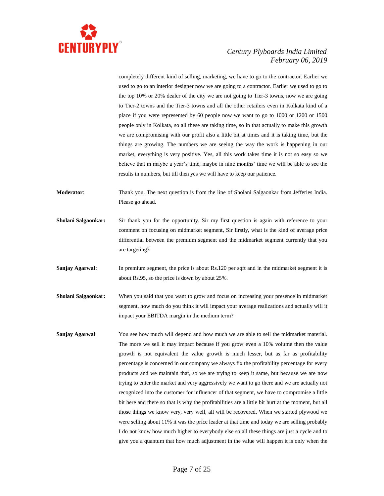

completely different kind of selling, marketing, we have to go to the contractor. Earlier we used to go to an interior designer now we are going to a contractor. Earlier we used to go to the top 10% or 20% dealer of the city we are not going to Tier-3 towns, now we are going to Tier-2 towns and the Tier-3 towns and all the other retailers even in Kolkata kind of a place if you were represented by 60 people now we want to go to 1000 or 1200 or 1500 people only in Kolkata, so all these are taking time, so in that actually to make this growth we are compromising with our profit also a little bit at times and it is taking time, but the things are growing. The numbers we are seeing the way the work is happening in our market, everything is very positive. Yes, all this work takes time it is not so easy so we believe that in maybe a year's time, maybe in nine months' time we will be able to see the results in numbers, but till then yes we will have to keep our patience.

- **Moderator**: Thank you. The next question is from the line of Sholani Salgaonkar from Jefferies India. Please go ahead.
- **Sholani Salgaonkar:** Sir thank you for the opportunity. Sir my first question is again with reference to your comment on focusing on midmarket segment, Sir firstly, what is the kind of average price differential between the premium segment and the midmarket segment currently that you are targeting?
- **Sanjay Agarwal:** In premium segment, the price is about Rs.120 per sqft and in the midmarket segment it is about Rs.95, so the price is down by about 25%.
- **Sholani Salgaonkar:** When you said that you want to grow and focus on increasing your presence in midmarket segment, how much do you think it will impact your average realizations and actually will it impact your EBITDA margin in the medium term?
- **Sanjay Agarwal**: You see how much will depend and how much we are able to sell the midmarket material. The more we sell it may impact because if you grow even a 10% volume then the value growth is not equivalent the value growth is much lesser, but as far as profitability percentage is concerned in our company we always fix the profitability percentage for every products and we maintain that, so we are trying to keep it same, but because we are now trying to enter the market and very aggressively we want to go there and we are actually not recognized into the customer for influencer of that segment, we have to compromise a little bit here and there so that is why the profitabilities are a little bit hurt at the moment, but all those things we know very, very well, all will be recovered. When we started plywood we were selling about 11% it was the price leader at that time and today we are selling probably I do not know how much higher to everybody else so all these things are just a cycle and to give you a quantum that how much adjustment in the value will happen it is only when the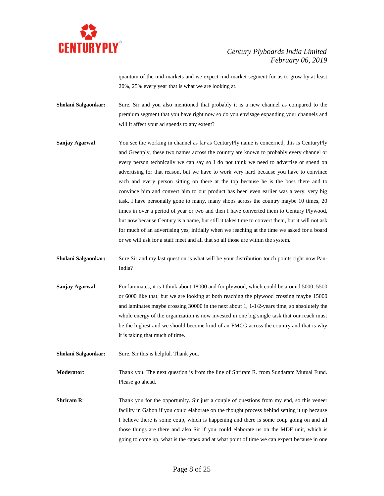

quantum of the mid-markets and we expect mid-market segment for us to grow by at least 20%, 25% every year that is what we are looking at.

- **Sholani Salgaonkar:** Sure. Sir and you also mentioned that probably it is a new channel as compared to the premium segment that you have right now so do you envisage expanding your channels and will it affect your ad spends to any extent?
- **Sanjay Agarwal:** You see the working in channel as far as CenturyPly name is concerned, this is CenturyPly and Greenply, these two names across the country are known to probably every channel or every person technically we can say so I do not think we need to advertise or spend on advertising for that reason, but we have to work very hard because you have to convince each and every person sitting on there at the top because he is the boss there and to convince him and convert him to our product has been even earlier was a very, very big task. I have personally gone to many, many shops across the country maybe 10 times, 20 times in over a period of year or two and then I have converted them to Century Plywood, but now because Century is a name, but still it takes time to convert them, but it will not ask for much of an advertising yes, initially when we reaching at the time we asked for a board or we will ask for a staff meet and all that so all those are within the system.
- **Sholani Salgaonkar:** Sure Sir and my last question is what will be your distribution touch points right now Pan-India?
- **Sanjay Agarwal:** For laminates, it is I think about 18000 and for plywood, which could be around 5000, 5500 or 6000 like that, but we are looking at both reaching the plywood crossing maybe 15000 and laminates maybe crossing 30000 in the next about 1, 1-1/2-years time, so absolutely the whole energy of the organization is now invested in one big single task that our reach must be the highest and we should become kind of an FMCG across the country and that is why it is taking that much of time.

**Sholani Salgaonkar:** Sure. Sir this is helpful. Thank you.

**Moderator**: Thank you. The next question is from the line of Shriram R. from Sundaram Mutual Fund. Please go ahead.

**Shriram R:** Thank you for the opportunity. Sir just a couple of questions from my end, so this veneer facility in Gabon if you could elaborate on the thought process behind setting it up because I believe there is some coup, which is happening and there is some coup going on and all those things are there and also Sir if you could elaborate us on the MDF unit, which is going to come up, what is the capex and at what point of time we can expect because in one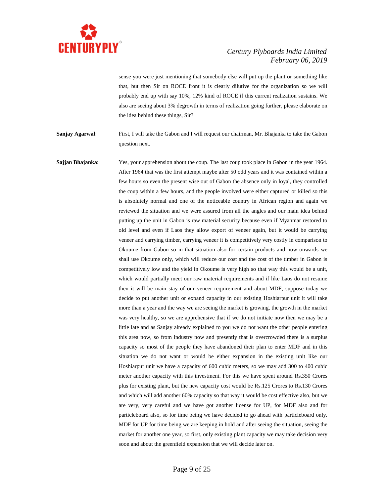

sense you were just mentioning that somebody else will put up the plant or something like that, but then Sir on ROCE front it is clearly dilutive for the organization so we will probably end up with say 10%, 12% kind of ROCE if this current realization sustains. We also are seeing about 3% degrowth in terms of realization going further, please elaborate on the idea behind these things, Sir?

**Sanjay Agarwal**: First, I will take the Gabon and I will request our chairman, Mr. Bhajanka to take the Gabon question next.

**Sajjan Bhajanka**: Yes, your apprehension about the coup. The last coup took place in Gabon in the year 1964. After 1964 that was the first attempt maybe after 50 odd years and it was contained within a few hours so even the present wise out of Gabon the absence only in loyal, they controlled the coup within a few hours, and the people involved were either captured or killed so this is absolutely normal and one of the noticeable country in African region and again we reviewed the situation and we were assured from all the angles and our main idea behind putting up the unit in Gabon is raw material security because even if Myanmar restored to old level and even if Laos they allow export of veneer again, but it would be carrying veneer and carrying timber, carrying veneer it is competitively very costly in comparison to Okoume from Gabon so in that situation also for certain products and now onwards we shall use Okoume only, which will reduce our cost and the cost of the timber in Gabon is competitively low and the yield in Okoume is very high so that way this would be a unit, which would partially meet our raw material requirements and if like Laos do not resume then it will be main stay of our veneer requirement and about MDF, suppose today we decide to put another unit or expand capacity in our existing Hoshiarpur unit it will take more than a year and the way we are seeing the market is growing, the growth in the market was very healthy, so we are apprehensive that if we do not initiate now then we may be a little late and as Sanjay already explained to you we do not want the other people entering this area now, so from industry now and presently that is overcrowded there is a surplus capacity so most of the people they have abandoned their plan to enter MDF and in this situation we do not want or would be either expansion in the existing unit like our Hoshiarpur unit we have a capacity of 600 cubic meters, so we may add 300 to 400 cubic meter another capacity with this investment. For this we have spent around Rs.350 Crores plus for existing plant, but the new capacity cost would be Rs.125 Crores to Rs.130 Crores and which will add another 60% capacity so that way it would be cost effective also, but we are very, very careful and we have got another license for UP, for MDF also and for particleboard also, so for time being we have decided to go ahead with particleboard only. MDF for UP for time being we are keeping in hold and after seeing the situation, seeing the market for another one year, so first, only existing plant capacity we may take decision very soon and about the greenfield expansion that we will decide later on.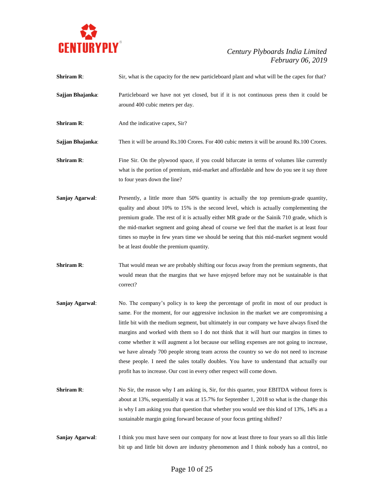

| <b>Shriram R:</b> | Sir, what is the capacity for the new particleboard plant and what will be the capex for that?                                                                                                                                                                                                                                                                                                                                                                                                                                                                                                                                                                                                                                             |
|-------------------|--------------------------------------------------------------------------------------------------------------------------------------------------------------------------------------------------------------------------------------------------------------------------------------------------------------------------------------------------------------------------------------------------------------------------------------------------------------------------------------------------------------------------------------------------------------------------------------------------------------------------------------------------------------------------------------------------------------------------------------------|
| Sajjan Bhajanka:  | Particleboard we have not yet closed, but if it is not continuous press then it could be<br>around 400 cubic meters per day.                                                                                                                                                                                                                                                                                                                                                                                                                                                                                                                                                                                                               |
| <b>Shriram R:</b> | And the indicative capex, Sir?                                                                                                                                                                                                                                                                                                                                                                                                                                                                                                                                                                                                                                                                                                             |
| Sajjan Bhajanka:  | Then it will be around Rs.100 Crores. For 400 cubic meters it will be around Rs.100 Crores.                                                                                                                                                                                                                                                                                                                                                                                                                                                                                                                                                                                                                                                |
| <b>Shriram R:</b> | Fine Sir. On the plywood space, if you could bifurcate in terms of volumes like currently<br>what is the portion of premium, mid-market and affordable and how do you see it say three<br>to four years down the line?                                                                                                                                                                                                                                                                                                                                                                                                                                                                                                                     |
| Sanjay Agarwal:   | Presently, a little more than 50% quantity is actually the top premium-grade quantity,<br>quality and about 10% to 15% is the second level, which is actually complementing the<br>premium grade. The rest of it is actually either MR grade or the Sainik 710 grade, which is<br>the mid-market segment and going ahead of course we feel that the market is at least four<br>times so maybe in few years time we should be seeing that this mid-market segment would<br>be at least double the premium quantity.                                                                                                                                                                                                                         |
| <b>Shriram R:</b> | That would mean we are probably shifting our focus away from the premium segments, that<br>would mean that the margins that we have enjoyed before may not be sustainable is that<br>correct?                                                                                                                                                                                                                                                                                                                                                                                                                                                                                                                                              |
| Sanjay Agarwal:   | No. The company's policy is to keep the percentage of profit in most of our product is<br>same. For the moment, for our aggressive inclusion in the market we are compromising a<br>little bit with the medium segment, but ultimately in our company we have always fixed the<br>margins and worked with them so I do not think that it will hurt our margins in times to<br>come whether it will augment a lot because our selling expenses are not going to increase,<br>we have already 700 people strong team across the country so we do not need to increase<br>these people. I need the sales totally doubles. You have to understand that actually our<br>profit has to increase. Our cost in every other respect will come down. |
| <b>Shriram R:</b> | No Sir, the reason why I am asking is, Sir, for this quarter, your EBITDA without forex is<br>about at 13%, sequentially it was at 15.7% for September 1, 2018 so what is the change this<br>is why I am asking you that question that whether you would see this kind of 13%, 14% as a<br>sustainable margin going forward because of your focus getting shifted?                                                                                                                                                                                                                                                                                                                                                                         |
| Sanjay Agarwal:   | I think you must have seen our company for now at least three to four years so all this little                                                                                                                                                                                                                                                                                                                                                                                                                                                                                                                                                                                                                                             |

bit up and little bit down are industry phenomenon and I think nobody has a control, no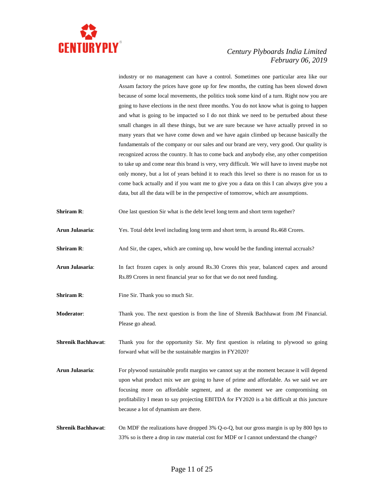

industry or no management can have a control. Sometimes one particular area like our Assam factory the prices have gone up for few months, the cutting has been slowed down because of some local movements, the politics took some kind of a turn. Right now you are going to have elections in the next three months. You do not know what is going to happen and what is going to be impacted so I do not think we need to be perturbed about these small changes in all these things, but we are sure because we have actually proved in so many years that we have come down and we have again climbed up because basically the fundamentals of the company or our sales and our brand are very, very good. Our quality is recognized across the country. It has to come back and anybody else, any other competition to take up and come near this brand is very, very difficult. We will have to invest maybe not only money, but a lot of years behind it to reach this level so there is no reason for us to come back actually and if you want me to give you a data on this I can always give you a data, but all the data will be in the perspective of tomorrow, which are assumptions.

**Shriram R:** One last question Sir what is the debt level long term and short term together?

- **Arun Julasaria**: Yes. Total debt level including long term and short term, is around Rs.468 Crores.
- **Shriram R:** And Sir, the capex, which are coming up, how would be the funding internal accruals?
- **Arun Julasaria**: In fact frozen capex is only around Rs.30 Crores this year, balanced capex and around Rs.89 Crores in next financial year so for that we do not need funding.
- **Shriram R:** Fine Sir. Thank you so much Sir.
- **Moderator**: Thank you. The next question is from the line of Shrenik Bachhawat from JM Financial. Please go ahead.

**Shrenik Bachhawat**: Thank you for the opportunity Sir. My first question is relating to plywood so going forward what will be the sustainable margins in FY2020?

- **Arun Julasaria:** For plywood sustainable profit margins we cannot say at the moment because it will depend upon what product mix we are going to have of prime and affordable. As we said we are focusing more on affordable segment, and at the moment we are compromising on profitability I mean to say projecting EBITDA for FY2020 is a bit difficult at this juncture because a lot of dynamism are there.
- **Shrenik Bachhawat:** On MDF the realizations have dropped 3% Q-o-Q, but our gross margin is up by 800 bps to 33% so is there a drop in raw material cost for MDF or I cannot understand the change?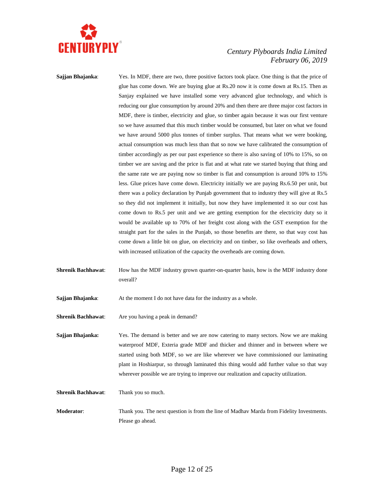

**Sajjan Bhajanka:** Yes. In MDF, there are two, three positive factors took place. One thing is that the price of glue has come down. We are buying glue at Rs.20 now it is come down at Rs.15. Then as Sanjay explained we have installed some very advanced glue technology, and which is reducing our glue consumption by around 20% and then there are three major cost factors in MDF, there is timber, electricity and glue, so timber again because it was our first venture so we have assumed that this much timber would be consumed, but later on what we found we have around 5000 plus tonnes of timber surplus. That means what we were booking, actual consumption was much less than that so now we have calibrated the consumption of timber accordingly as per our past experience so there is also saving of 10% to 15%, so on timber we are saving and the price is flat and at what rate we started buying that thing and the same rate we are paying now so timber is flat and consumption is around 10% to 15% less. Glue prices have come down. Electricity initially we are paying Rs.6.50 per unit, but there was a policy declaration by Punjab government that to industry they will give at Rs.5 so they did not implement it initially, but now they have implemented it so our cost has come down to Rs.5 per unit and we are getting exemption for the electricity duty so it would be available up to 70% of her freight cost along with the GST exemption for the straight part for the sales in the Punjab, so those benefits are there, so that way cost has come down a little bit on glue, on electricity and on timber, so like overheads and others, with increased utilization of the capacity the overheads are coming down.

**Shrenik Bachhawat:** How has the MDF industry grown quarter-on-quarter basis, how is the MDF industry done overall?

**Sajjan Bhajanka:** At the moment I do not have data for the industry as a whole.

**Shrenik Bachhawat**: Are you having a peak in demand?

**Sajjan Bhajanka:** Yes. The demand is better and we are now catering to many sectors. Now we are making waterproof MDF, Exteria grade MDF and thicker and thinner and in between where we started using both MDF, so we are like wherever we have commissioned our laminating plant in Hoshiarpur, so through laminated this thing would add further value so that way wherever possible we are trying to improve our realization and capacity utilization.

**Shrenik Bachhawat**: Thank you so much.

**Moderator**: Thank you. The next question is from the line of Madhav Marda from Fidelity Investments. Please go ahead.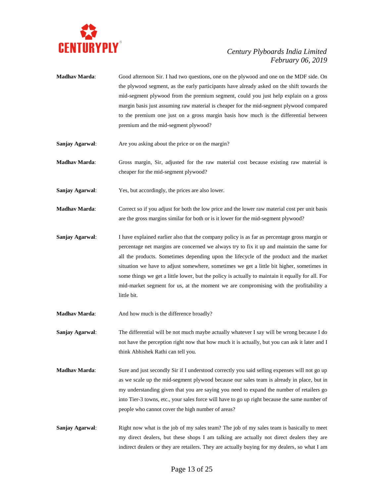

- **Madhav Marda**: Good afternoon Sir. I had two questions, one on the plywood and one on the MDF side. On the plywood segment, as the early participants have already asked on the shift towards the mid-segment plywood from the premium segment, could you just help explain on a gross margin basis just assuming raw material is cheaper for the mid-segment plywood compared to the premium one just on a gross margin basis how much is the differential between premium and the mid-segment plywood?
- **Sanjay Agarwal:** Are you asking about the price or on the margin?
- **Madhav Marda**: Gross margin, Sir, adjusted for the raw material cost because existing raw material is cheaper for the mid-segment plywood?
- **Sanjay Agarwal:** Yes, but accordingly, the prices are also lower.
- **Madhav Marda**: Correct so if you adjust for both the low price and the lower raw material cost per unit basis are the gross margins similar for both or is it lower for the mid-segment plywood?
- **Sanjay Agarwal:** I have explained earlier also that the company policy is as far as percentage gross margin or percentage net margins are concerned we always try to fix it up and maintain the same for all the products. Sometimes depending upon the lifecycle of the product and the market situation we have to adjust somewhere, sometimes we get a little bit higher, sometimes in some things we get a little lower, but the policy is actually to maintain it equally for all. For mid-market segment for us, at the moment we are compromising with the profitability a little bit.
- **Madhav Marda:** And how much is the difference broadly?
- **Sanjay Agarwal:** The differential will be not much maybe actually whatever I say will be wrong because I do not have the perception right now that how much it is actually, but you can ask it later and I think Abhishek Rathi can tell you.
- **Madhav Marda:** Sure and just secondly Sir if I understood correctly you said selling expenses will not go up as we scale up the mid-segment plywood because our sales team is already in place, but in my understanding given that you are saying you need to expand the number of retailers go into Tier-3 towns, etc., your sales force will have to go up right because the same number of people who cannot cover the high number of areas?
- **Sanjay Agarwal:** Right now what is the job of my sales team? The job of my sales team is basically to meet my direct dealers, but these shops I am talking are actually not direct dealers they are indirect dealers or they are retailers. They are actually buying for my dealers, so what I am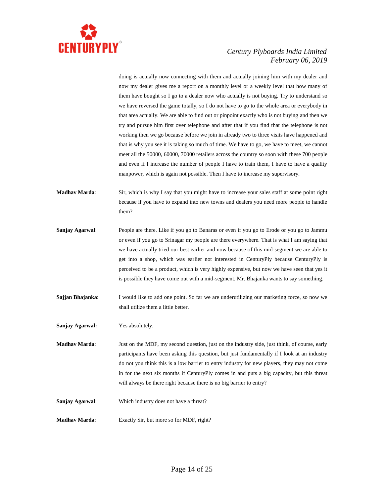

doing is actually now connecting with them and actually joining him with my dealer and now my dealer gives me a report on a monthly level or a weekly level that how many of them have bought so I go to a dealer now who actually is not buying. Try to understand so we have reversed the game totally, so I do not have to go to the whole area or everybody in that area actually. We are able to find out or pinpoint exactly who is not buying and then we try and pursue him first over telephone and after that if you find that the telephone is not working then we go because before we join in already two to three visits have happened and that is why you see it is taking so much of time. We have to go, we have to meet, we cannot meet all the 50000, 60000, 70000 retailers across the country so soon with these 700 people and even if I increase the number of people I have to train them, I have to have a quality manpower, which is again not possible. Then I have to increase my supervisory.

- **Madhav Marda**: Sir, which is why I say that you might have to increase your sales staff at some point right because if you have to expand into new towns and dealers you need more people to handle them?
- **Sanjay Agarwal**: People are there. Like if you go to Banaras or even if you go to Erode or you go to Jammu or even if you go to Srinagar my people are there everywhere. That is what I am saying that we have actually tried our best earlier and now because of this mid-segment we are able to get into a shop, which was earlier not interested in CenturyPly because CenturyPly is perceived to be a product, which is very highly expensive, but now we have seen that yes it is possible they have come out with a mid-segment. Mr. Bhajanka wants to say something.
- **Sajjan Bhajanka:** I would like to add one point. So far we are underutilizing our marketing force, so now we shall utilize them a little better.

**Sanjay Agarwal:** Yes absolutely.

**Madhav Marda**: Just on the MDF, my second question, just on the industry side, just think, of course, early participants have been asking this question, but just fundamentally if I look at an industry do not you think this is a low barrier to entry industry for new players, they may not come in for the next six months if CenturyPly comes in and puts a big capacity, but this threat will always be there right because there is no big barrier to entry?

**Sanjay Agarwal**: Which industry does not have a threat?

**Madhav Marda**: Exactly Sir, but more so for MDF, right?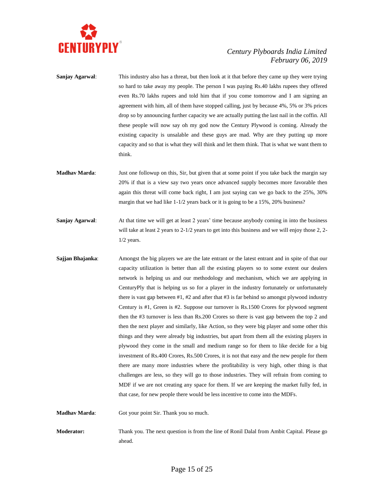

**Sanjay Agarwal:** This industry also has a threat, but then look at it that before they came up they were trying so hard to take away my people. The person I was paying Rs.40 lakhs rupees they offered even Rs.70 lakhs rupees and told him that if you come tomorrow and I am signing an agreement with him, all of them have stopped calling, just by because 4%, 5% or 3% prices drop so by announcing further capacity we are actually putting the last nail in the coffin. All these people will now say oh my god now the Century Plywood is coming. Already the existing capacity is unsalable and these guys are mad. Why are they putting up more capacity and so that is what they will think and let them think. That is what we want them to think. **Madhav Marda**: Just one followup on this, Sir, but given that at some point if you take back the margin say 20% if that is a view say two years once advanced supply becomes more favorable then again this threat will come back right, I am just saying can we go back to the 25%, 30% margin that we had like 1-1/2 years back or it is going to be a 15%, 20% business? **Sanjay Agarwal:** At that time we will get at least 2 years' time because anybody coming in into the business will take at least 2 years to 2-1/2 years to get into this business and we will enjoy those 2, 2-1/2 years. **Sajjan Bhajanka**: Amongst the big players we are the late entrant or the latest entrant and in spite of that our capacity utilization is better than all the existing players so to some extent our dealers network is helping us and our methodology and mechanism, which we are applying in CenturyPly that is helping us so for a player in the industry fortunately or unfortunately there is vast gap between  $#1, #2$  and after that  $#3$  is far behind so amongst plywood industry Century is #1, Green is #2. Suppose our turnover is Rs.1500 Crores for plywood segment

**Madhav Marda**: Got your point Sir. Thank you so much.

**Moderator:** Thank you. The next question is from the line of Ronil Dalal from Ambit Capital. Please go ahead.

that case, for new people there would be less incentive to come into the MDFs.

then the #3 turnover is less than Rs.200 Crores so there is vast gap between the top 2 and then the next player and similarly, like Action, so they were big player and some other this things and they were already big industries, but apart from them all the existing players in plywood they come in the small and medium range so for them to like decide for a big investment of Rs.400 Crores, Rs.500 Crores, it is not that easy and the new people for them there are many more industries where the profitability is very high, other thing is that challenges are less, so they will go to those industries. They will refrain from coming to MDF if we are not creating any space for them. If we are keeping the market fully fed, in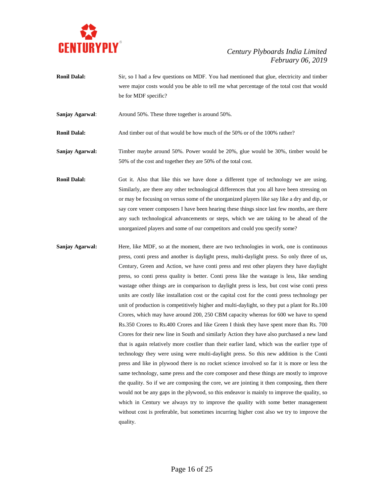

**Ronil Dalal:** Sir, so I had a few questions on MDF. You had mentioned that glue, electricity and timber were major costs would you be able to tell me what percentage of the total cost that would be for MDF specific?

**Sanjay Agarwal:** Around 50%. These three together is around 50%.

**Ronil Dalal:** And timber out of that would be how much of the 50% or of the 100% rather?

- **Sanjay Agarwal:** Timber maybe around 50%. Power would be 20%, glue would be 30%, timber would be 50% of the cost and together they are 50% of the total cost.
- **Ronil Dalal:** Got it. Also that like this we have done a different type of technology we are using. Similarly, are there any other technological differences that you all have been stressing on or may be focusing on versus some of the unorganized players like say like a dry and dip, or say core veneer composers I have been hearing these things since last few months, are there any such technological advancements or steps, which we are taking to be ahead of the unorganized players and some of our competitors and could you specify some?
- **Sanjay Agarwal:** Here, like MDF, so at the moment, there are two technologies in work, one is continuous press, conti press and another is daylight press, multi-daylight press. So only three of us, Century, Green and Action, we have conti press and rest other players they have daylight press, so conti press quality is better. Conti press like the wastage is less, like sending wastage other things are in comparison to daylight press is less, but cost wise conti press units are costly like installation cost or the capital cost for the conti press technology per unit of production is competitively higher and multi-daylight, so they put a plant for Rs.100 Crores, which may have around 200, 250 CBM capacity whereas for 600 we have to spend Rs.350 Crores to Rs.400 Crores and like Green I think they have spent more than Rs. 700 Crores for their new line in South and similarly Action they have also purchased a new land that is again relatively more costlier than their earlier land, which was the earlier type of technology they were using were multi-daylight press. So this new addition is the Conti press and like in plywood there is no rocket science involved so far it is more or less the same technology, same press and the core composer and these things are mostly to improve the quality. So if we are composing the core, we are jointing it then composing, then there would not be any gaps in the plywood, so this endeavor is mainly to improve the quality, so which in Century we always try to improve the quality with some better management without cost is preferable, but sometimes incurring higher cost also we try to improve the quality.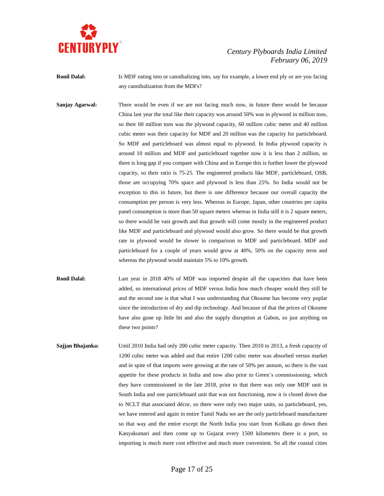

**Ronil Dalal:** Is MDF eating into or cannibalizing into, say for example, a lower end ply or are you facing any cannibalization from the MDFs?

**Sanjay Agarwal:** There would be even if we are not facing much now, in future there would be because China last year the total like their capacity was around 50% was in plywood in million tons, so their 60 million tons was the plywood capacity, 60 million cubic meter and 40 million cubic meter was their capacity for MDF and 20 million was the capacity for particleboard. So MDF and particleboard was almost equal to plywood. In India plywood capacity is around 10 million and MDF and particleboard together now it is less than 2 million, so there is long gap if you compare with China and in Europe this is further lower the plywood capacity, so their ratio is 75-25. The engineered products like MDF, particleboard, OSB, those are occupying 70% space and plywood is less than 25%. So India would not be exception to this in future, but there is one difference because our overall capacity the consumption per person is very less. Whereas in Europe, Japan, other countries per capita panel consumption is more than 50 square meters whereas in India still it is 2 square meters, so there would be vast growth and that growth will come mostly in the engineered product like MDF and particleboard and plywood would also grow. So there would be that growth rate in plywood would be slower in comparison to MDF and particleboard. MDF and particleboard for a couple of years would grow at 40%, 50% on the capacity term and whereas the plywood would maintain 5% to 10% growth.

**Ronil Dalal:** Last year in 2018 40% of MDF was imported despite all the capacities that have been added, so international prices of MDF versus India how much cheaper would they still be and the second one is that what I was understanding that Okoume has become very poplar since the introduction of dry and dip technology. And because of that the prices of Okoume have also gone up little bit and also the supply disruption at Gabon, so just anything on these two points?

**Sajjan Bhajanka:** Until 2010 India had only 200 cubic meter capacity. Then 2010 to 2013, a fresh capacity of 1200 cubic meter was added and that entire 1200 cubic meter was absorbed versus market and in spite of that imports were growing at the rate of 50% per annum, so there is the vast appetite for these products in India and now also prior to Green's commissioning, which they have commissioned in the late 2018, prior to that there was only one MDF unit in South India and one particleboard unit that was not functioning, now it is closed down due to NCLT that associated décor, so there were only two major units, so particleboard, yes, we have entered and again in entire Tamil Nadu we are the only particleboard manufacturer so that way and the entire except the North India you start from Kolkata go down then Kanyakumari and then come up to Gujarat every 1500 kilometers there is a port, so importing is much more cost effective and much more convenient. So all the coastal cities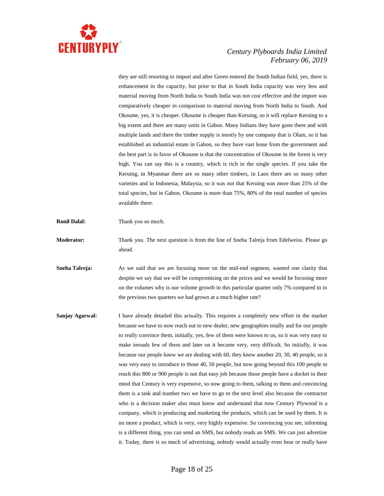

they are still resorting to import and after Green entered the South Indian field, yes, there is enhancement in the capacity, but prior to that in South India capacity was very less and material moving from North India to South India was not cost effective and the import was comparatively cheaper in comparison to material moving from North India to South. And Okoume, yes, it is cheaper. Okoume is cheaper than Keruing, so it will replace Keruing to a big extent and there are many units in Gabon. Many Indians they have gone there and with multiple lands and there the timber supply is mostly by one company that is Olam, so it has established an industrial estate in Gabon, so they have vast lease from the government and the best part is in favor of Okoume is that the concentration of Okoume in the forest is very high. You can say this is a country, which is rich in the single species. If you take the Keruing, in Myanmar there are so many other timbers, in Laos there are so many other varieties and in Indonesia, Malaysia, so it was not that Keruing was more than 25% of the total species, but in Gabon, Okoume is more than 75%, 80% of the total number of species available there.

- **Ronil Dalal:** Thank you so much.
- **Moderator:** Thank you. The next question is from the line of Sneha Talreja from Edelweiss. Please go ahead.
- **Sneha Talreja:** As we said that we are focusing more on the mid-end segment, wanted one clarity that despite we say that we will be compromising on the prices and we would be focusing more on the volumes why is our volume growth in this particular quarter only 7% compared to in the previous two quarters we had grown at a much higher rate?
- **Sanjay Agarwal:** I have already detailed this actually. This requires a completely new effort in the market because we have to now reach out to new dealer, new geographies totally and for our people to really convince them, initially, yes, few of them were known to us, so it was very easy to make inroads few of them and later on it became very, very difficult. So initially, it was because our people knew we are dealing with 60, they knew another 20, 30, 40 people, so it was very easy to introduce to those 40, 50 people, but now going beyond this 100 people to reach this 800 or 900 people is not that easy job because those people have a docket in their mind that Century is very expensive, so now going to them, talking to them and convincing them is a task and number two we have to go to the next level also because the contractor who is a decision maker also must know and understand that now Century Plywood is a company, which is producing and marketing the products, which can be used by them. It is no more a product, which is very, very highly expensive. So convincing you see, informing is a different thing, you can send an SMS, but nobody reads an SMS. We can just advertise it. Today, there is so much of advertising, nobody would actually even hear or really have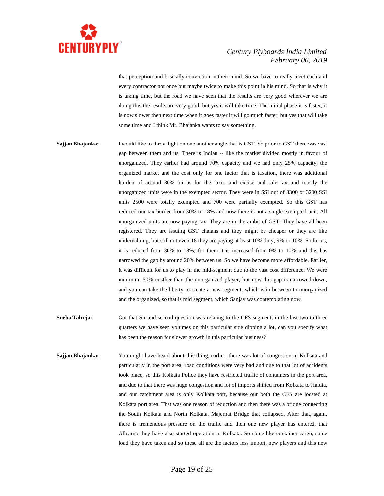

that perception and basically conviction in their mind. So we have to really meet each and every contractor not once but maybe twice to make this point in his mind. So that is why it is taking time, but the road we have seen that the results are very good wherever we are doing this the results are very good, but yes it will take time. The initial phase it is faster, it is now slower then next time when it goes faster it will go much faster, but yes that will take some time and I think Mr. Bhajanka wants to say something.

- **Sajjan Bhajanka:** I would like to throw light on one another angle that is GST. So prior to GST there was vast gap between them and us. There is Indian -- like the market divided mostly in favour of unorganized. They earlier had around 70% capacity and we had only 25% capacity, the organized market and the cost only for one factor that is taxation, there was additional burden of around 30% on us for the taxes and excise and sale tax and mostly the unorganized units were in the exempted sector. They were in SSI out of 3300 or 3200 SSI units 2500 were totally exempted and 700 were partially exempted. So this GST has reduced our tax burden from 30% to 18% and now there is not a single exempted unit. All unorganized units are now paying tax. They are in the ambit of GST. They have all been registered. They are issuing GST chalans and they might be cheaper or they are like undervaluing, but still not even 18 they are paying at least 10% duty, 9% or 10%. So for us, it is reduced from 30% to 18%; for them it is increased from 0% to 10% and this has narrowed the gap by around 20% between us. So we have become more affordable. Earlier, it was difficult for us to play in the mid-segment due to the vast cost difference. We were minimum 50% costlier than the unorganized player, but now this gap is narrowed down, and you can take the liberty to create a new segment, which is in between to unorganized and the organized, so that is mid segment, which Sanjay was contemplating now.
- **Sneha Talreja:** Got that Sir and second question was relating to the CFS segment, in the last two to three quarters we have seen volumes on this particular side dipping a lot, can you specify what has been the reason for slower growth in this particular business?
- **Sajjan Bhajanka:** You might have heard about this thing, earlier, there was lot of congestion in Kolkata and particularly in the port area, road conditions were very bad and due to that lot of accidents took place, so this Kolkata Police they have restricted traffic of containers in the port area, and due to that there was huge congestion and lot of imports shifted from Kolkata to Haldia, and our catchment area is only Kolkata port, because our both the CFS are located at Kolkata port area. That was one reason of reduction and then there was a bridge connecting the South Kolkata and North Kolkata, Majerhat Bridge that collapsed. After that, again, there is tremendous pressure on the traffic and then one new player has entered, that Allcargo they have also started operation in Kolkata. So some like container cargo, some load they have taken and so these all are the factors less import, new players and this new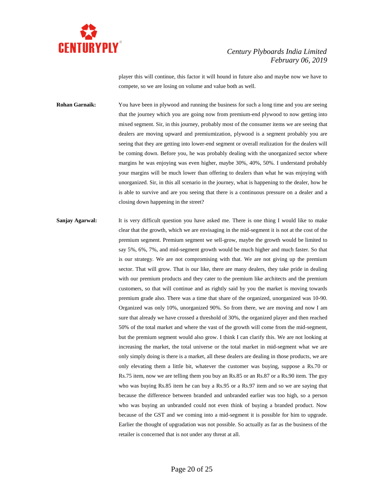

player this will continue, this factor it will hound in future also and maybe now we have to compete, so we are losing on volume and value both as well.

**Rohan Garnaik:** You have been in plywood and running the business for such a long time and you are seeing that the journey which you are going now from premium-end plywood to now getting into mixed segment. Sir, in this journey, probably most of the consumer items we are seeing that dealers are moving upward and premiumization, plywood is a segment probably you are seeing that they are getting into lower-end segment or overall realization for the dealers will be coming down. Before you, he was probably dealing with the unorganized sector where margins he was enjoying was even higher, maybe 30%, 40%, 50%. I understand probably your margins will be much lower than offering to dealers than what he was enjoying with unorganized. Sir, in this all scenario in the journey, what is happening to the dealer, how he is able to survive and are you seeing that there is a continuous pressure on a dealer and a closing down happening in the street?

**Sanjay Agarwal:** It is very difficult question you have asked me. There is one thing I would like to make clear that the growth, which we are envisaging in the mid-segment it is not at the cost of the premium segment. Premium segment we sell-grow, maybe the growth would be limited to say 5%, 6%, 7%, and mid-segment growth would be much higher and much faster. So that is our strategy. We are not compromising with that. We are not giving up the premium sector. That will grow. That is our like, there are many dealers, they take pride in dealing with our premium products and they cater to the premium like architects and the premium customers, so that will continue and as rightly said by you the market is moving towards premium grade also. There was a time that share of the organized, unorganized was 10-90. Organized was only 10%, unorganized 90%. So from there, we are moving and now I am sure that already we have crossed a threshold of 30%, the organized player and then reached 50% of the total market and where the vast of the growth will come from the mid-segment, but the premium segment would also grow. I think I can clarify this. We are not looking at increasing the market, the total universe or the total market in mid-segment what we are only simply doing is there is a market, all these dealers are dealing in those products, we are only elevating them a little bit, whatever the customer was buying, suppose a Rs.70 or Rs.75 item, now we are telling them you buy an Rs.85 or an Rs.87 or a Rs.90 item. The guy who was buying Rs.85 item he can buy a Rs.95 or a Rs.97 item and so we are saying that because the difference between branded and unbranded earlier was too high, so a person who was buying an unbranded could not even think of buying a branded product. Now because of the GST and we coming into a mid-segment it is possible for him to upgrade. Earlier the thought of upgradation was not possible. So actually as far as the business of the retailer is concerned that is not under any threat at all.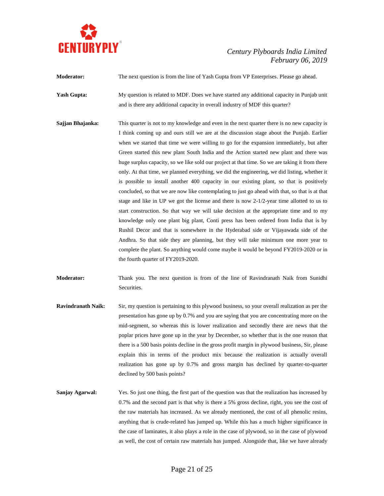

**Moderator:** The next question is from the line of Yash Gupta from VP Enterprises. Please go ahead. **Yash Gupta:** My question is related to MDF. Does we have started any additional capacity in Punjab unit

and is there any additional capacity in overall industry of MDF this quarter?

**Sajjan Bhajanka:** This quarter is not to my knowledge and even in the next quarter there is no new capacity is I think coming up and ours still we are at the discussion stage about the Punjab. Earlier when we started that time we were willing to go for the expansion immediately, but after Green started this new plant South India and the Action started new plant and there was huge surplus capacity, so we like sold our project at that time. So we are taking it from there only. At that time, we planned everything, we did the engineering, we did listing, whether it is possible to install another 400 capacity in our existing plant, so that is positively concluded, so that we are now like contemplating to just go ahead with that, so that is at that stage and like in UP we got the license and there is now 2-1/2-year time allotted to us to start construction. So that way we will take decision at the appropriate time and to my knowledge only one plant big plant, Conti press has been ordered from India that is by Rushil Decor and that is somewhere in the Hyderabad side or Vijayawada side of the Andhra. So that side they are planning, but they will take minimum one more year to complete the plant. So anything would come maybe it would be beyond FY2019-2020 or in the fourth quarter of FY2019-2020.

**Moderator:** Thank you. The next question is from of the line of Ravindranath Naik from Sunidhi Securities.

- **Ravindranath Naik:** Sir, my question is pertaining to this plywood business, so your overall realization as per the presentation has gone up by 0.7% and you are saying that you are concentrating more on the mid-segment, so whereas this is lower realization and secondly there are news that the poplar prices have gone up in the year by December, so whether that is the one reason that there is a 500 basis points decline in the gross profit margin in plywood business, Sir, please explain this in terms of the product mix because the realization is actually overall realization has gone up by 0.7% and gross margin has declined by quarter-to-quarter declined by 500 basis points?
- **Sanjay Agarwal:** Yes. So just one thing, the first part of the question was that the realization has increased by 0.7% and the second part is that why is there a 5% gross decline, right, you see the cost of the raw materials has increased. As we already mentioned, the cost of all phenolic resins, anything that is crude-related has jumped up. While this has a much higher significance in the case of laminates, it also plays a role in the case of plywood, so in the case of plywood as well, the cost of certain raw materials has jumped. Alongside that, like we have already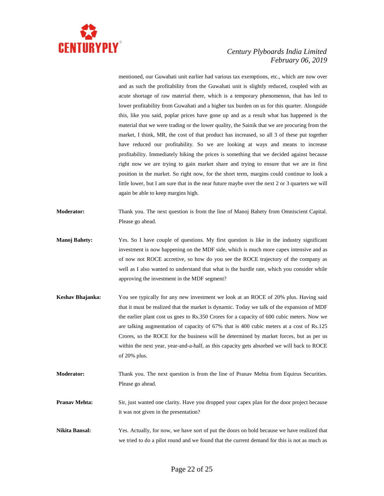

mentioned, our Guwahati unit earlier had various tax exemptions, etc., which are now over and as such the profitability from the Guwahati unit is slightly reduced, coupled with an acute shortage of raw material there, which is a temporary phenomenon, that has led to lower profitability from Guwahati and a higher tax burden on us for this quarter. Alongside this, like you said, poplar prices have gone up and as a result what has happened is the material that we were trading or the lower quality, the Sainik that we are procuring from the market, I think, MR, the cost of that product has increased, so all 3 of these put together have reduced our profitability. So we are looking at ways and means to increase profitability. Immediately hiking the prices is something that we decided against because right now we are trying to gain market share and trying to ensure that we are in first position in the market. So right now, for the short term, margins could continue to look a little lower, but I am sure that in the near future maybe over the next 2 or 3 quarters we will again be able to keep margins high.

- **Moderator:** Thank you. The next question is from the line of Manoj Bahety from Omniscient Capital. Please go ahead.
- **Manoj Bahety:** Yes. So I have couple of questions. My first question is like in the industry significant investment is now happening on the MDF side, which is much more capex intensive and as of now not ROCE accretive, so how do you see the ROCE trajectory of the company as well as I also wanted to understand that what is the hurdle rate, which you consider while approving the investment in the MDF segment?
- **Keshav Bhajanka:** You see typically for any new investment we look at an ROCE of 20% plus. Having said that it must be realized that the market is dynamic. Today we talk of the expansion of MDF the earlier plant cost us goes to Rs.350 Crores for a capacity of 600 cubic meters. Now we are talking augmentation of capacity of 67% that is 400 cubic meters at a cost of Rs.125 Crores, so the ROCE for the business will be determined by market forces, but as per us within the next year, year-and-a-half, as this capacity gets absorbed we will back to ROCE of 20% plus.
- **Moderator:** Thank you. The next question is from the line of Pranav Mehta from Equirus Securities. Please go ahead.
- **Pranav Mehta:** Sir, just wanted one clarity. Have you dropped your capex plan for the door project because it was not given in the presentation?
- **Nikita Bansal:** Yes. Actually, for now, we have sort of put the doors on hold because we have realized that we tried to do a pilot round and we found that the current demand for this is not as much as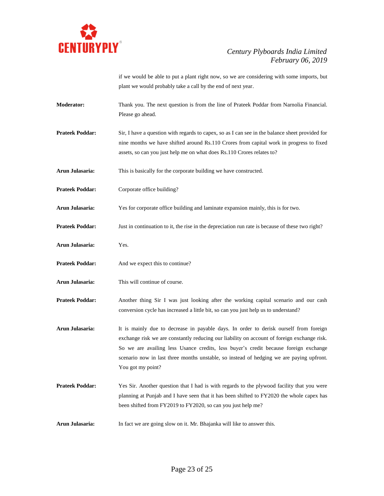

if we would be able to put a plant right now, so we are considering with some imports, but plant we would probably take a call by the end of next year.

- **Moderator:** Thank you. The next question is from the line of Prateek Poddar from Narnolia Financial. Please go ahead.
- **Prateek Poddar:** Sir, I have a question with regards to capex, so as I can see in the balance sheet provided for nine months we have shifted around Rs.110 Crores from capital work in progress to fixed assets, so can you just help me on what does Rs.110 Crores relates to?
- **Arun Julasaria:** This is basically for the corporate building we have constructed.
- **Prateek Poddar:** Corporate office building?
- **Arun Julasaria:** Yes for corporate office building and laminate expansion mainly, this is for two.
- **Prateek Poddar:** Just in continuation to it, the rise in the depreciation run rate is because of these two right?
- **Arun Julasaria:** Yes.
- **Prateek Poddar:** And we expect this to continue?
- **Arun Julasaria:** This will continue of course.
- **Prateek Poddar:** Another thing Sir I was just looking after the working capital scenario and our cash conversion cycle has increased a little bit, so can you just help us to understand?
- **Arun Julasaria:** It is mainly due to decrease in payable days. In order to derisk ourself from foreign exchange risk we are constantly reducing our liability on account of foreign exchange risk. So we are availing less Usance credits, less buyer's credit because foreign exchange scenario now in last three months unstable, so instead of hedging we are paying upfront. You got my point?
- **Prateek Poddar:** Yes Sir. Another question that I had is with regards to the plywood facility that you were planning at Punjab and I have seen that it has been shifted to FY2020 the whole capex has been shifted from FY2019 to FY2020, so can you just help me?
- **Arun Julasaria:** In fact we are going slow on it. Mr. Bhajanka will like to answer this.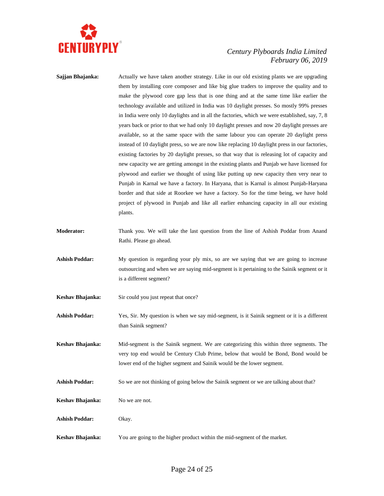

| Sajjan Bhajanka:      | Actually we have taken another strategy. Like in our old existing plants we are upgrading<br>them by installing core composer and like big glue traders to improve the quality and to<br>make the plywood core gap less that is one thing and at the same time like earlier the<br>technology available and utilized in India was 10 daylight presses. So mostly 99% presses<br>in India were only 10 daylights and in all the factories, which we were established, say, 7, 8<br>years back or prior to that we had only 10 daylight presses and now 20 daylight presses are<br>available, so at the same space with the same labour you can operate 20 daylight press<br>instead of 10 daylight press, so we are now like replacing 10 daylight press in our factories,<br>existing factories by 20 daylight presses, so that way that is releasing lot of capacity and<br>new capacity we are getting amongst in the existing plants and Punjab we have licensed for<br>plywood and earlier we thought of using like putting up new capacity then very near to<br>Punjab in Karnal we have a factory. In Haryana, that is Karnal is almost Punjab-Haryana<br>border and that side at Roorkee we have a factory. So for the time being, we have hold<br>project of plywood in Punjab and like all earlier enhancing capacity in all our existing<br>plants. |
|-----------------------|---------------------------------------------------------------------------------------------------------------------------------------------------------------------------------------------------------------------------------------------------------------------------------------------------------------------------------------------------------------------------------------------------------------------------------------------------------------------------------------------------------------------------------------------------------------------------------------------------------------------------------------------------------------------------------------------------------------------------------------------------------------------------------------------------------------------------------------------------------------------------------------------------------------------------------------------------------------------------------------------------------------------------------------------------------------------------------------------------------------------------------------------------------------------------------------------------------------------------------------------------------------------------------------------------------------------------------------------------------------|
| <b>Moderator:</b>     | Thank you. We will take the last question from the line of Ashish Poddar from Anand<br>Rathi. Please go ahead.                                                                                                                                                                                                                                                                                                                                                                                                                                                                                                                                                                                                                                                                                                                                                                                                                                                                                                                                                                                                                                                                                                                                                                                                                                                |
| <b>Ashish Poddar:</b> | My question is regarding your ply mix, so are we saying that we are going to increase<br>outsourcing and when we are saying mid-segment is it pertaining to the Sainik segment or it<br>is a different segment?                                                                                                                                                                                                                                                                                                                                                                                                                                                                                                                                                                                                                                                                                                                                                                                                                                                                                                                                                                                                                                                                                                                                               |
| Keshav Bhajanka:      | Sir could you just repeat that once?                                                                                                                                                                                                                                                                                                                                                                                                                                                                                                                                                                                                                                                                                                                                                                                                                                                                                                                                                                                                                                                                                                                                                                                                                                                                                                                          |
| <b>Ashish Poddar:</b> | Yes, Sir. My question is when we say mid-segment, is it Sainik segment or it is a different<br>than Sainik segment?                                                                                                                                                                                                                                                                                                                                                                                                                                                                                                                                                                                                                                                                                                                                                                                                                                                                                                                                                                                                                                                                                                                                                                                                                                           |
| Keshav Bhajanka:      | Mid-segment is the Sainik segment. We are categorizing this within three segments. The<br>very top end would be Century Club Prime, below that would be Bond, Bond would be<br>lower end of the higher segment and Sainik would be the lower segment.                                                                                                                                                                                                                                                                                                                                                                                                                                                                                                                                                                                                                                                                                                                                                                                                                                                                                                                                                                                                                                                                                                         |
| <b>Ashish Poddar:</b> | So we are not thinking of going below the Sainik segment or we are talking about that?                                                                                                                                                                                                                                                                                                                                                                                                                                                                                                                                                                                                                                                                                                                                                                                                                                                                                                                                                                                                                                                                                                                                                                                                                                                                        |
| Keshav Bhajanka:      | No we are not.                                                                                                                                                                                                                                                                                                                                                                                                                                                                                                                                                                                                                                                                                                                                                                                                                                                                                                                                                                                                                                                                                                                                                                                                                                                                                                                                                |
| <b>Ashish Poddar:</b> | Okay.                                                                                                                                                                                                                                                                                                                                                                                                                                                                                                                                                                                                                                                                                                                                                                                                                                                                                                                                                                                                                                                                                                                                                                                                                                                                                                                                                         |
| Keshav Bhajanka:      | You are going to the higher product within the mid-segment of the market.                                                                                                                                                                                                                                                                                                                                                                                                                                                                                                                                                                                                                                                                                                                                                                                                                                                                                                                                                                                                                                                                                                                                                                                                                                                                                     |